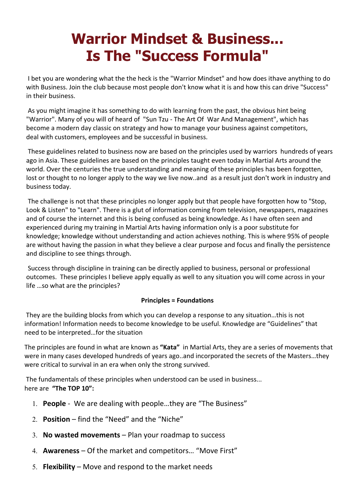# **Warrior Mindset & Business... Is The "Success Formula"**

 I bet you are wondering what the the heck is the "Warrior Mindset" and how does ithave anything to do with Business. Join the club because most people don't know what it is and how this can drive "Success" in their business.

 As you might imagine it has something to do with learning from the past, the obvious hint being "Warrior". Many of you will of heard of "Sun Tzu - The Art Of War And Management", which has become a modern day classic on strategy and how to manage your business against competitors, deal with customers, employees and be successful in business.

 These guidelines related to business now are based on the principles used by warriors hundreds of years ago in Asia. These guidelines are based on the principles taught even today in Martial Arts around the world. Over the centuries the true understanding and meaning of these principles has been forgotten, lost or thought to no longer apply to the way we live now..and as a result just don't work in industry and business today.

 The challenge is not that these principles no longer apply but that people have forgotten how to "Stop, Look & Listen" to "Learn". There is a glut of information coming from television, newspapers, magazines and of course the internet and this is being confused as being knowledge. As I have often seen and experienced during my training in Martial Arts having information only is a poor substitute for knowledge; knowledge without understanding and action achieves nothing. This is where 95% of people are without having the passion in what they believe a clear purpose and focus and finally the persistence and discipline to see things through.

 Success through discipline in training can be directly applied to business, personal or professional outcomes. These principles I believe apply equally as well to any situation you will come across in your life …so what are the principles?

## **Principles = Foundations**

They are the building blocks from which you can develop a response to any situation…this is not information! Information needs to become knowledge to be useful. Knowledge are "Guidelines" that need to be interpreted…for the situation

The principles are found in what are known as **"Kata"** in Martial Arts, they are a series of movements that were in many cases developed hundreds of years ago..and incorporated the secrets of the Masters…they were critical to survival in an era when only the strong survived.

 The fundamentals of these principles when understood can be used in business... here are **"The TOP 10":** 

- 1. **People** We are dealing with people…they are "The Business"
- 2. **Position** find the "Need" and the "Niche"
- 3. **No wasted movements** Plan your roadmap to success
- 4. **Awareness** Of the market and competitors… "Move First"
- 5. **Flexibility** Move and respond to the market needs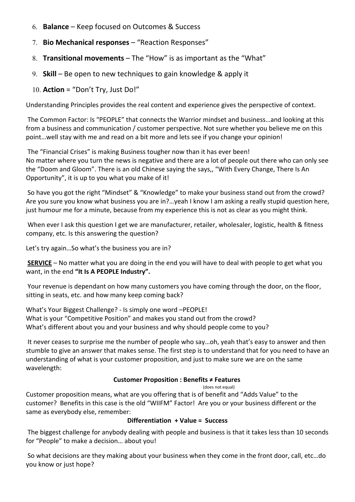- 6. **Balance**  Keep focused on Outcomes & Success
- 7. **Bio Mechanical responses** "Reaction Responses"
- 8. **Transitional movements** The "How" is as important as the "What"
- 9. **Skill**  Be open to new techniques to gain knowledge & apply it
- 10. **Action** = "Don't Try, Just Do!"

Understanding Principles provides the real content and experience gives the perspective of context.

 The Common Factor: Is "PEOPLE" that connects the Warrior mindset and business…and looking at this from a business and communication / customer perspective. Not sure whether you believe me on this point…well stay with me and read on a bit more and lets see if you change your opinion!

 The "Financial Crises" is making Business tougher now than it has ever been! No matter where you turn the news is negative and there are a lot of people out there who can only see the "Doom and Gloom". There is an old Chinese saying the says,, "With Every Change, There Is An Opportunity", it is up to you what you make of it!

 So have you got the right "Mindset" & "Knowledge" to make your business stand out from the crowd? Are you sure you know what business you are in?…yeah I know I am asking a really stupid question here, just humour me for a minute, because from my experience this is not as clear as you might think.

When ever I ask this question I get we are manufacturer, retailer, wholesaler, logistic, health & fitness company, etc. Is this answering the question?

Let's try again…So what's the business you are in?

**SERVICE** – No matter what you are doing in the end you will have to deal with people to get what you want, in the end **"It Is A PEOPLE Industry".**

 Your revenue is dependant on how many customers you have coming through the door, on the floor, sitting in seats, etc. and how many keep coming back?

What's Your Biggest Challenge? - Is simply one word –PEOPLE! What is your "Competitive Position" and makes you stand out from the crowd? What's different about you and your business and why should people come to you?

 It never ceases to surprise me the number of people who say…oh, yeah that's easy to answer and then stumble to give an answer that makes sense. The first step is to understand that for you need to have an understanding of what is your customer proposition, and just to make sure we are on the same wavelength:

## **Customer Proposition : Benefits ≠ Features**

(does not equal)

Customer proposition means, what are you offering that is of benefit and "Adds Value" to the customer? Benefits in this case is the old "WIIFM" Factor! Are you or your business different or the same as everybody else, remember:

## **Differentiation + Value = Success**

 The biggest challenge for anybody dealing with people and business is that it takes less than 10 seconds for "People" to make a decision… about you!

 So what decisions are they making about your business when they come in the front door, call, etc…do you know or just hope?